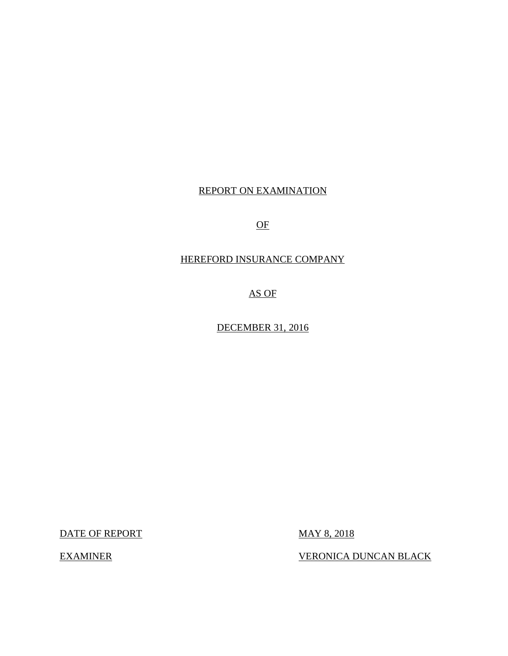# REPORT ON EXAMINATION

 $\overline{OF}$ 

# HEREFORD INSURANCE COMPANY

AS OF

DECEMBER 31, 2016

DATE OF REPORT MAY 8, 2018

EXAMINER VERONICA DUNCAN BLACK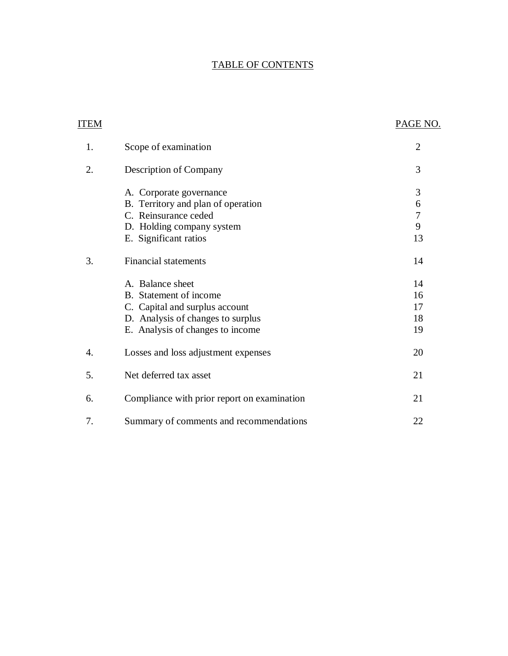# TABLE OF CONTENTS

| ITEM |                                             | PAGE NO.       |
|------|---------------------------------------------|----------------|
| 1.   | Scope of examination                        | $\overline{2}$ |
| 2.   | Description of Company                      | 3              |
|      | A. Corporate governance                     | 3              |
|      | B. Territory and plan of operation          | 6              |
|      | C. Reinsurance ceded                        | $\sqrt{ }$     |
|      | D. Holding company system                   | 9              |
|      | E. Significant ratios                       | 13             |
| 3.   | Financial statements                        | 14             |
|      | A. Balance sheet                            | 14             |
|      | B. Statement of income                      | 16             |
|      | C. Capital and surplus account              | 17             |
|      | D. Analysis of changes to surplus           | 18             |
|      | E. Analysis of changes to income            | 19             |
| 4.   | Losses and loss adjustment expenses         | 20             |
| 5.   | Net deferred tax asset                      | 21             |
| 6.   | Compliance with prior report on examination | 21             |
| 7.   | Summary of comments and recommendations     | 22             |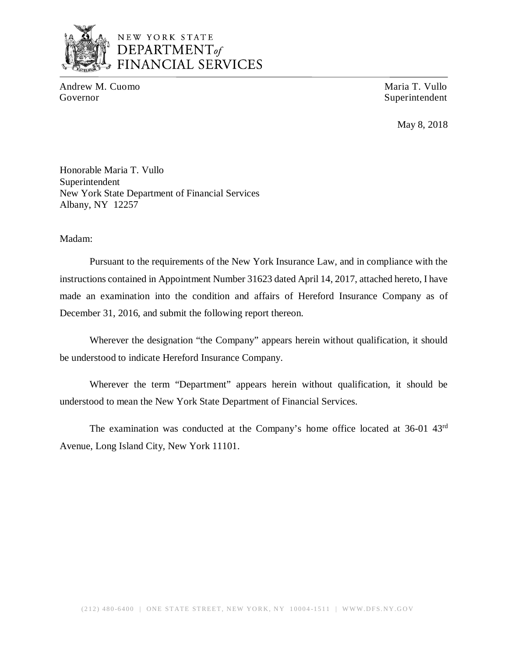

# NEW YORK STATE *DEPARTMENTof*  FINANCIAL SERVICES

Andrew M. Cuomo **Maria T. Vullo** Maria T. Vullo Governor Superintendent Superintendent Superintendent Superintendent Superintendent

May 8, 2018

Honorable Maria T. Vullo Superintendent New York State Department of Financial Services Albany, NY 12257

Madam:

Pursuant to the requirements of the New York Insurance Law, and in compliance with the instructions contained in Appointment Number 31623 dated April 14, 2017, attached hereto, I have made an examination into the condition and affairs of Hereford Insurance Company as of December 31, 2016, and submit the following report thereon.

Wherever the designation "the Company" appears herein without qualification, it should be understood to indicate Hereford Insurance Company.

Wherever the term "Department" appears herein without qualification, it should be understood to mean the New York State Department of Financial Services.

The examination was conducted at the Company's home office located at 36-01 43rd Avenue, Long Island City, New York 11101.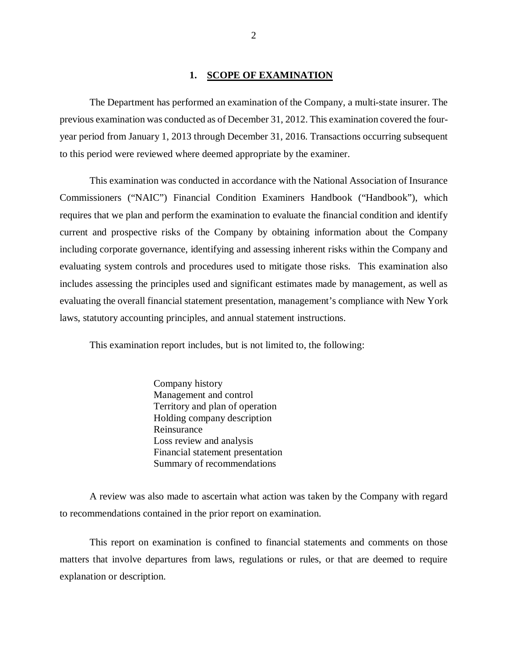#### 1. SCOPE OF EXAMINATION

The Department has performed an examination of the Company*,* a multi-state insurer. The previous examination was conducted as of December 31, 2012. This examination covered the fouryear period from January 1, 2013 through December 31, 2016. Transactions occurring subsequent to this period were reviewed where deemed appropriate by the examiner.

This examination was conducted in accordance with the National Association of Insurance Commissioners ("NAIC") Financial Condition Examiners Handbook ("Handbook"), which requires that we plan and perform the examination to evaluate the financial condition and identify current and prospective risks of the Company by obtaining information about the Company including corporate governance, identifying and assessing inherent risks within the Company and evaluating system controls and procedures used to mitigate those risks. This examination also includes assessing the principles used and significant estimates made by management, as well as evaluating the overall financial statement presentation, management's compliance with New York laws, statutory accounting principles, and annual statement instructions.

This examination report includes, but is not limited to, the following:

Company history Management and control Territory and plan of operation Holding company description Reinsurance Loss review and analysis Financial statement presentation Summary of recommendations

A review was also made to ascertain what action was taken by the Company with regard to recommendations contained in the prior report on examination.

This report on examination is confined to financial statements and comments on those matters that involve departures from laws, regulations or rules, or that are deemed to require explanation or description.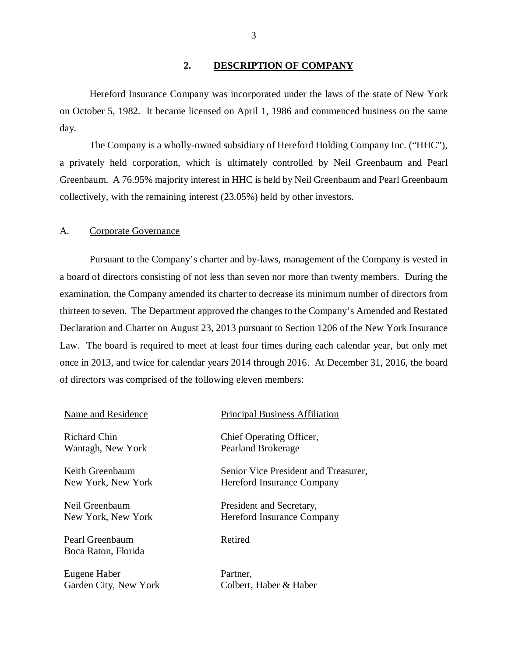# **2. DESCRIPTION OF COMPANY**

Hereford Insurance Company was incorporated under the laws of the state of New York on October 5, 1982. It became licensed on April 1, 1986 and commenced business on the same day.

The Company is a wholly-owned subsidiary of Hereford Holding Company Inc. ("HHC"), a privately held corporation, which is ultimately controlled by Neil Greenbaum and Pearl Greenbaum. A 76.95% majority interest in HHC is held by Neil Greenbaum and Pearl Greenbaum collectively, with the remaining interest (23.05%) held by other investors.

#### A. Corporate Governance

Pursuant to the Company's charter and by-laws, management of the Company is vested in a board of directors consisting of not less than seven nor more than twenty members. During the examination, the Company amended its charter to decrease its minimum number of directors from thirteen to seven. The Department approved the changes to the Company's Amended and Restated Declaration and Charter on August 23, 2013 pursuant to Section 1206 of the New York Insurance Law. The board is required to meet at least four times during each calendar year, but only met once in 2013, and twice for calendar years 2014 through 2016. At December 31, 2016, the board of directors was comprised of the following eleven members:

| Name and Residence                     | <b>Principal Business Affiliation</b> |
|----------------------------------------|---------------------------------------|
| Richard Chin                           | Chief Operating Officer,              |
| Wantagh, New York                      | Pearland Brokerage                    |
| Keith Greenbaum                        | Senior Vice President and Treasurer,  |
| New York, New York                     | Hereford Insurance Company            |
| Neil Greenbaum                         | President and Secretary,              |
| New York, New York                     | Hereford Insurance Company            |
| Pearl Greenbaum<br>Boca Raton, Florida | Retired                               |
| Eugene Haber                           | Partner,                              |
| Garden City, New York                  | Colbert, Haber & Haber                |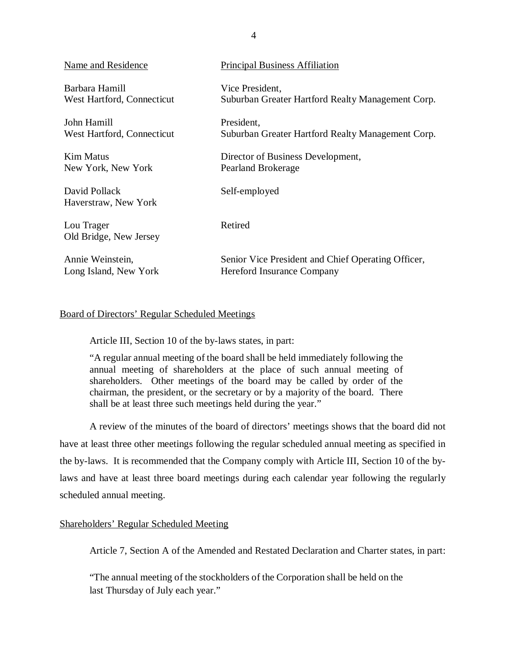| Name and Residence                    | <b>Principal Business Affiliation</b>              |
|---------------------------------------|----------------------------------------------------|
| Barbara Hamill                        | Vice President,                                    |
| West Hartford, Connecticut            | Suburban Greater Hartford Realty Management Corp.  |
| John Hamill                           | President,                                         |
| West Hartford, Connecticut            | Suburban Greater Hartford Realty Management Corp.  |
| Kim Matus                             | Director of Business Development,                  |
| New York, New York                    | Pearland Brokerage                                 |
| David Pollack<br>Haverstraw, New York | Self-employed                                      |
| Lou Trager<br>Old Bridge, New Jersey  | Retired                                            |
| Annie Weinstein,                      | Senior Vice President and Chief Operating Officer, |
| Long Island, New York                 | <b>Hereford Insurance Company</b>                  |

## Board of Directors' Regular Scheduled Meetings

Article III, Section 10 of the by-laws states, in part:

"A regular annual meeting of the board shall be held immediately following the annual meeting of shareholders at the place of such annual meeting of shareholders. Other meetings of the board may be called by order of the chairman, the president, or the secretary or by a majority of the board. There shall be at least three such meetings held during the year."

A review of the minutes of the board of directors' meetings shows that the board did not have at least three other meetings following the regular scheduled annual meeting as specified in the by-laws. It is recommended that the Company comply with Article III, Section 10 of the bylaws and have at least three board meetings during each calendar year following the regularly scheduled annual meeting.

## Shareholders' Regular Scheduled Meeting

Article 7, Section A of the Amended and Restated Declaration and Charter states, in part:

"The annual meeting of the stockholders of the Corporation shall be held on the last Thursday of July each year."

4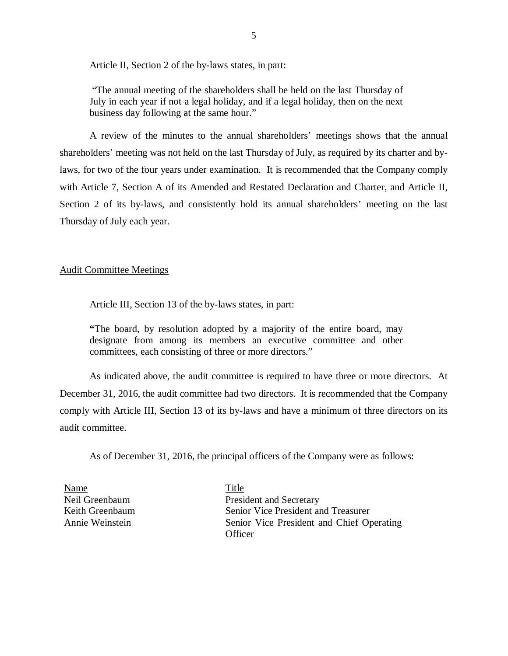Article II, Section 2 of the by-laws states, in part:

"The annual meeting of the shareholders shall be held on the last Thursday of July in each year if not a legal holiday, and if a legal holiday, then on the next business day following at the same hour."

A review of the minutes to the annual shareholders' meetings shows that the annual shareholders' meeting was not held on the last Thursday of July, as required by its charter and bylaws, for two of the four years under examination. It is recommended that the Company comply with Article 7, Section A of its Amended and Restated Declaration and Charter, and Article II, Section 2 of its by-laws, and consistently hold its annual shareholders' meeting on the last Thursday of July each year.

#### Audit Committee Meetings

Article III, Section 13 of the by-laws states, in part:

**"**The board, by resolution adopted by a majority of the entire board, may designate from among its members an executive committee and other committees, each consisting of three or more directors."

As indicated above, the audit committee is required to have three or more directors. At December 31, 2016, the audit committee had two directors. It is recommended that the Company comply with Article III, Section 13 of its by-laws and have a minimum of three directors on its audit committee.

As of December 31, 2016, the principal officers of the Company were as follows:

Name Title

Neil Greenbaum President and Secretary Keith Greenbaum Senior Vice President and Treasurer Annie Weinstein Senior Vice President and Chief Operating **Officer**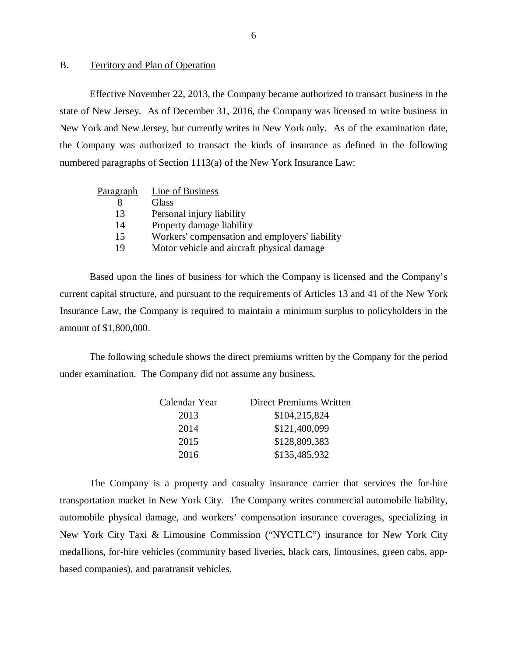## <span id="page-7-0"></span>B. Territory and Plan of Operation

Effective November 22, 2013, the Company became authorized to transact business in the state of New Jersey. As of December 31, 2016, the Company was licensed to write business in New York and New Jersey, but currently writes in New York only. As of the examination date, the Company was authorized to transact the kinds of insurance as defined in the following numbered paragraphs of Section 1113(a) of the New York Insurance Law:

| Paragraph | Line of Business                               |
|-----------|------------------------------------------------|
| 8         | Glass                                          |
| 13        | Personal injury liability                      |
| 14        | Property damage liability                      |
| 15        | Workers' compensation and employers' liability |
| 19        | Motor vehicle and aircraft physical damage     |

Based upon the lines of business for which the Company is licensed and the Company's current capital structure, and pursuant to the requirements of Articles 13 and 41 of the New York Insurance Law, the Company is required to maintain a minimum surplus to policyholders in the amount of \$1,800,000.

The following schedule shows the direct premiums written by the Company for the period under examination. The Company did not assume any business.

| Calendar Year | Direct Premiums Written |
|---------------|-------------------------|
| 2013          | \$104,215,824           |
| 2014          | \$121,400,099           |
| 2015          | \$128,809,383           |
| 2016          | \$135,485,932           |

The Company is a property and casualty insurance carrier that services the for-hire transportation market in New York City. The Company writes commercial automobile liability, automobile physical damage, and workers' compensation insurance coverages, specializing in New York City Taxi & Limousine Commission ("NYCTLC") insurance for New York City medallions, for-hire vehicles (community based liveries, black cars, limousines, green cabs, appbased companies), and paratransit vehicles.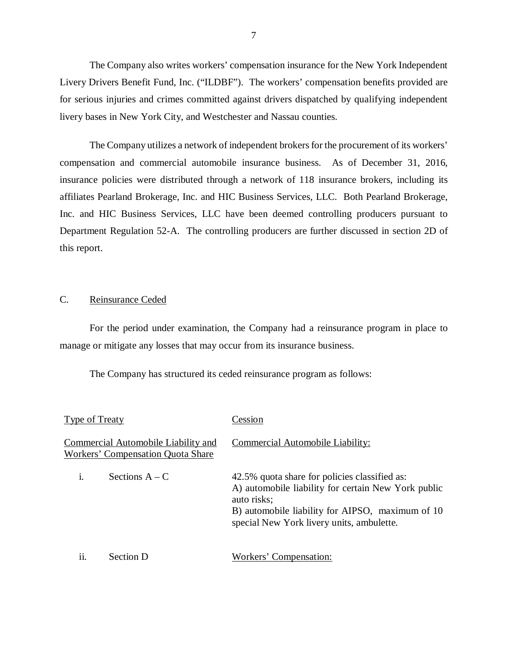<span id="page-8-0"></span>The Company also writes workers' compensation insurance for the New York Independent Livery Drivers Benefit Fund, Inc. ("ILDBF"). The workers' compensation benefits provided are for serious injuries and crimes committed against drivers dispatched by qualifying independent livery bases in New York City, and Westchester and Nassau counties.

The Company utilizes a network of independent brokers for the procurement of its workers' compensation and commercial automobile insurance business. As of December 31, 2016, insurance policies were distributed through a network of 118 insurance brokers, including its affiliates Pearland Brokerage, Inc. and HIC Business Services, LLC. Both Pearland Brokerage, Inc. and HIC Business Services, LLC have been deemed controlling producers pursuant to Department Regulation 52-A. The controlling producers are further discussed in section 2D of this report.

## C. Reinsurance Ceded

For the period under examination, the Company had a reinsurance program in place to manage or mitigate any losses that may occur from its insurance business.

The Company has structured its ceded reinsurance program as follows:

| Type of Treaty                                                                  | Cession                                                                                                                                                                                                              |
|---------------------------------------------------------------------------------|----------------------------------------------------------------------------------------------------------------------------------------------------------------------------------------------------------------------|
| Commercial Automobile Liability and<br><b>Workers' Compensation Quota Share</b> | Commercial Automobile Liability:                                                                                                                                                                                     |
| Sections $A - C$                                                                | 42.5% quota share for policies classified as:<br>A) automobile liability for certain New York public<br>auto risks;<br>B) automobile liability for AIPSO, maximum of 10<br>special New York livery units, ambulette. |
| ii.<br>Section D                                                                | Workers' Compensation:                                                                                                                                                                                               |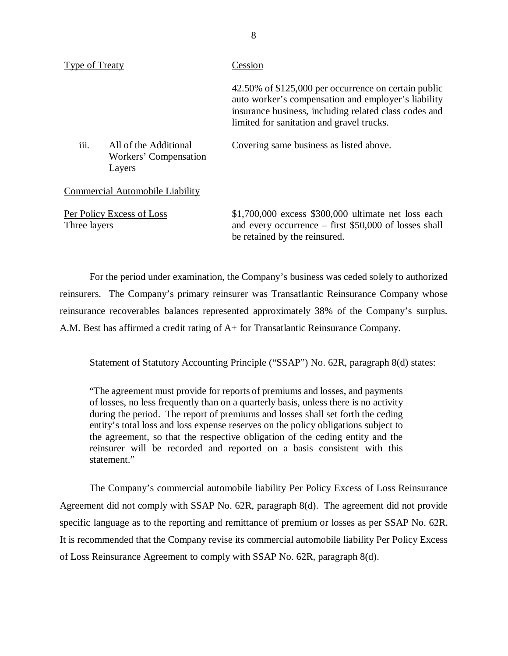| <b>Type of Treaty</b> |                                                          | Cession                                                                                                                                                                                                           |
|-----------------------|----------------------------------------------------------|-------------------------------------------------------------------------------------------------------------------------------------------------------------------------------------------------------------------|
|                       |                                                          | 42.50% of \$125,000 per occurrence on certain public<br>auto worker's compensation and employer's liability<br>insurance business, including related class codes and<br>limited for sanitation and gravel trucks. |
| iii.                  | All of the Additional<br>Workers' Compensation<br>Layers | Covering same business as listed above.                                                                                                                                                                           |
|                       | Commercial Automobile Liability                          |                                                                                                                                                                                                                   |
| Three layers          | Per Policy Excess of Loss                                | \$1,700,000 excess \$300,000 ultimate net loss each<br>and every occurrence $-$ first \$50,000 of losses shall                                                                                                    |

For the period under examination, the Company's business was ceded solely to authorized reinsurers. The Company's primary reinsurer was Transatlantic Reinsurance Company whose reinsurance recoverables balances represented approximately 38% of the Company's surplus. A.M. Best has affirmed a credit rating of A+ for Transatlantic Reinsurance Company.

be retained by the reinsured.

Statement of Statutory Accounting Principle ("SSAP") No. 62R, paragraph 8(d) states:

"The agreement must provide for reports of premiums and losses, and payments of losses, no less frequently than on a quarterly basis, unless there is no activity during the period. The report of premiums and losses shall set forth the ceding entity's total loss and loss expense reserves on the policy obligations subject to the agreement, so that the respective obligation of the ceding entity and the reinsurer will be recorded and reported on a basis consistent with this statement."

The Company's commercial automobile liability Per Policy Excess of Loss Reinsurance Agreement did not comply with SSAP No. 62R, paragraph 8(d). The agreement did not provide specific language as to the reporting and remittance of premium or losses as per SSAP No. 62R. It is recommended that the Company revise its commercial automobile liability Per Policy Excess of Loss Reinsurance Agreement to comply with SSAP No. 62R, paragraph 8(d).

8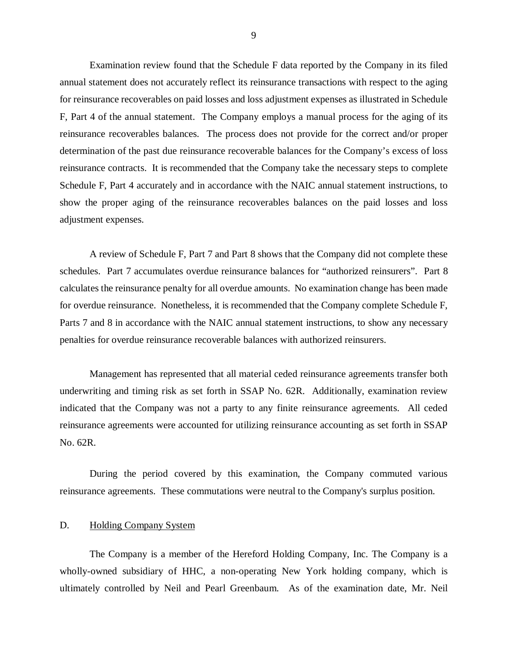<span id="page-10-0"></span>Examination review found that the Schedule F data reported by the Company in its filed annual statement does not accurately reflect its reinsurance transactions with respect to the aging for reinsurance recoverables on paid losses and loss adjustment expenses as illustrated in Schedule F, Part 4 of the annual statement. The Company employs a manual process for the aging of its reinsurance recoverables balances. The process does not provide for the correct and/or proper determination of the past due reinsurance recoverable balances for the Company's excess of loss reinsurance contracts. It is recommended that the Company take the necessary steps to complete Schedule F, Part 4 accurately and in accordance with the NAIC annual statement instructions, to show the proper aging of the reinsurance recoverables balances on the paid losses and loss adjustment expenses.

A review of Schedule F, Part 7 and Part 8 shows that the Company did not complete these schedules. Part 7 accumulates overdue reinsurance balances for "authorized reinsurers". Part 8 calculates the reinsurance penalty for all overdue amounts. No examination change has been made for overdue reinsurance. Nonetheless, it is recommended that the Company complete Schedule F, Parts 7 and 8 in accordance with the NAIC annual statement instructions, to show any necessary penalties for overdue reinsurance recoverable balances with authorized reinsurers.

Management has represented that all material ceded reinsurance agreements transfer both underwriting and timing risk as set forth in SSAP No. 62R. Additionally, examination review indicated that the Company was not a party to any finite reinsurance agreements. All ceded reinsurance agreements were accounted for utilizing reinsurance accounting as set forth in SSAP No. 62R.

During the period covered by this examination, the Company commuted various reinsurance agreements. These commutations were neutral to the Company's surplus position.

## D. Holding Company System

The Company is a member of the Hereford Holding Company, Inc. The Company is a wholly-owned subsidiary of HHC, a non-operating New York holding company, which is ultimately controlled by Neil and Pearl Greenbaum. As of the examination date, Mr. Neil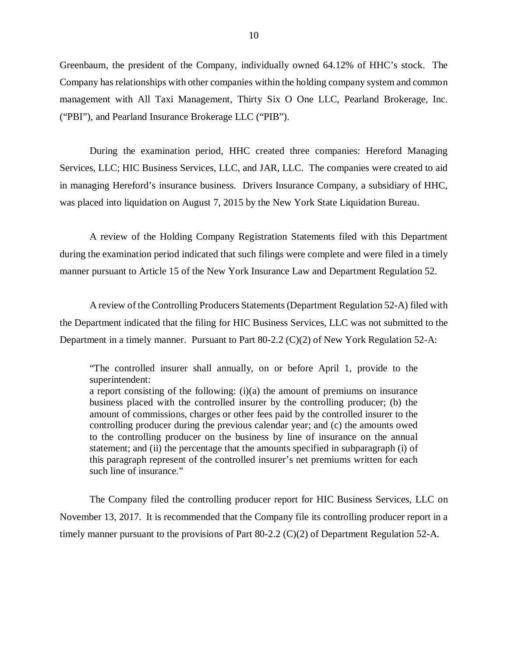Greenbaum, the president of the Company, individually owned 64.12% of HHC's stock. The Company has relationships with other companies within the holding company system and common management with All Taxi Management, Thirty Six O One LLC, Pearland Brokerage, Inc. ("PBI"), and Pearland Insurance Brokerage LLC ("PIB").

During the examination period, HHC created three companies: Hereford Managing Services, LLC; HIC Business Services, LLC, and JAR, LLC. The companies were created to aid in managing Hereford's insurance business. Drivers Insurance Company, a subsidiary of HHC, was placed into liquidation on August 7, 2015 by the New York State Liquidation Bureau.

A review of the Holding Company Registration Statements filed with this Department during the examination period indicated that such filings were complete and were filed in a timely manner pursuant to Article 15 of the New York Insurance Law and Department Regulation 52.

A review of the Controlling Producers Statements (Department Regulation 52-A) filed with the Department indicated that the filing for HIC Business Services, LLC was not submitted to the Department in a timely manner. Pursuant to Part 80-2.2 (C)(2) of New York Regulation 52-A:

"The controlled insurer shall annually, on or before April 1, provide to the superintendent: a report consisting of the following: (i)(a) the amount of premiums on insurance business placed with the controlled insurer by the controlling producer; (b) the amount of commissions, charges or other fees paid by the controlled insurer to the controlling producer during the previous calendar year; and (c) the amounts owed to the controlling producer on the business by line of insurance on the annual statement; and (ii) the percentage that the amounts specified in subparagraph (i) of this paragraph represent of the controlled insurer's net premiums written for each such line of insurance."

The Company filed the controlling producer report for HIC Business Services, LLC on November 13, 2017. It is recommended that the Company file its controlling producer report in a timely manner pursuant to the provisions of Part 80-2.2 (C)(2) of Department Regulation 52-A.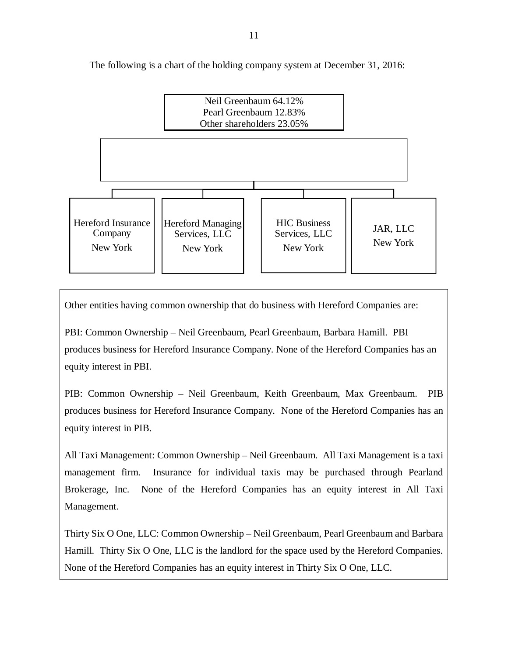The following is a chart of the holding company system at December 31, 2016:



Other entities having common ownership that do business with Hereford Companies are:

PBI: Common Ownership – Neil Greenbaum, Pearl Greenbaum, Barbara Hamill. PBI produces business for Hereford Insurance Company. None of the Hereford Companies has an equity interest in PBI.

PIB: Common Ownership – Neil Greenbaum, Keith Greenbaum, Max Greenbaum. PIB produces business for Hereford Insurance Company. None of the Hereford Companies has an equity interest in PIB.

All Taxi Management: Common Ownership – Neil Greenbaum. All Taxi Management is a taxi management firm. Insurance for individual taxis may be purchased through Pearland Brokerage, Inc. None of the Hereford Companies has an equity interest in All Taxi Management.

Thirty Six O One, LLC: Common Ownership – Neil Greenbaum, Pearl Greenbaum and Barbara Hamill. Thirty Six O One, LLC is the landlord for the space used by the Hereford Companies. None of the Hereford Companies has an equity interest in Thirty Six O One, LLC.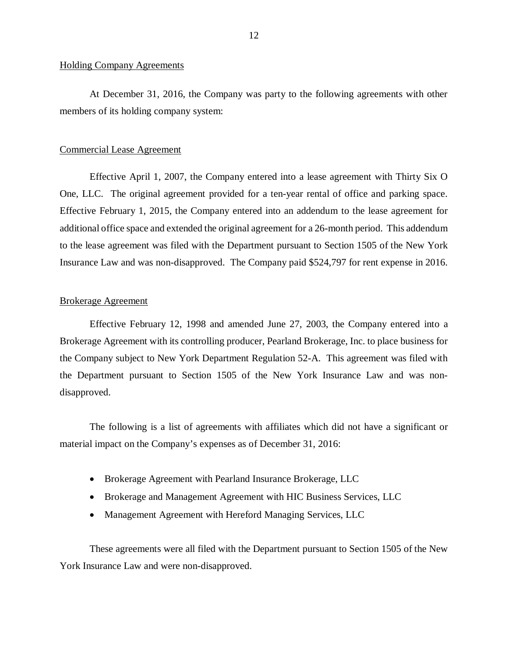#### Holding Company Agreements

At December 31, 2016, the Company was party to the following agreements with other members of its holding company system:

#### Commercial Lease Agreement

Effective April 1, 2007, the Company entered into a lease agreement with Thirty Six O One, LLC. The original agreement provided for a ten-year rental of office and parking space. Effective February 1, 2015, the Company entered into an addendum to the lease agreement for additional office space and extended the original agreement for a 26-month period. This addendum to the lease agreement was filed with the Department pursuant to Section 1505 of the New York Insurance Law and was non-disapproved. The Company paid \$524,797 for rent expense in 2016.

#### Brokerage Agreement

Effective February 12, 1998 and amended June 27, 2003, the Company entered into a Brokerage Agreement with its controlling producer, Pearland Brokerage, Inc. to place business for the Company subject to New York Department Regulation 52-A. This agreement was filed with the Department pursuant to Section 1505 of the New York Insurance Law and was nondisapproved.

The following is a list of agreements with affiliates which did not have a significant or material impact on the Company's expenses as of December 31, 2016:

- Brokerage Agreement with Pearland Insurance Brokerage, LLC
- Brokerage and Management Agreement with HIC Business Services, LLC
- Management Agreement with Hereford Managing Services, LLC

These agreements were all filed with the Department pursuant to Section 1505 of the New York Insurance Law and were non-disapproved.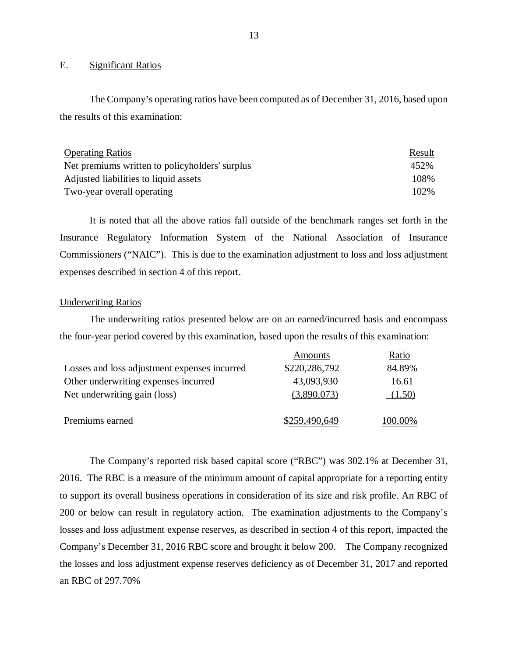## E. Significant Ratios

The Company's operating ratios have been computed as of December 31, 2016, based upon the results of this examination:

| <b>Operating Ratios</b>                        | Result |
|------------------------------------------------|--------|
| Net premiums written to policyholders' surplus | 452%   |
| Adjusted liabilities to liquid assets          | 108%   |
| Two-year overall operating                     | 102%   |

It is noted that all the above ratios fall outside of the benchmark ranges set forth in the Insurance Regulatory Information System of the National Association of Insurance Commissioners ("NAIC"). This is due to the examination adjustment to loss and loss adjustment expenses described in section 4 of this report.

## Underwriting Ratios

The underwriting ratios presented below are on an earned/incurred basis and encompass the four-year period covered by this examination, based upon the results of this examination:

|                                              | Amounts       | Ratio   |
|----------------------------------------------|---------------|---------|
| Losses and loss adjustment expenses incurred | \$220,286,792 | 84.89%  |
| Other underwriting expenses incurred         | 43,093,930    | 16.61   |
| Net underwriting gain (loss)                 | (3,890,073)   | (1.50)  |
| Premiums earned                              | \$259,490,649 | 100.00% |

The Company's reported risk based capital score ("RBC") was 302.1% at December 31, 2016. The RBC is a measure of the minimum amount of capital appropriate for a reporting entity to support its overall business operations in consideration of its size and risk profile. An RBC of 200 or below can result in regulatory action. The examination adjustments to the Company's losses and loss adjustment expense reserves, as described in section 4 of this report, impacted the Company's December 31, 2016 RBC score and brought it below 200. The Company recognized the losses and loss adjustment expense reserves deficiency as of December 31, 2017 and reported an RBC of 297.70%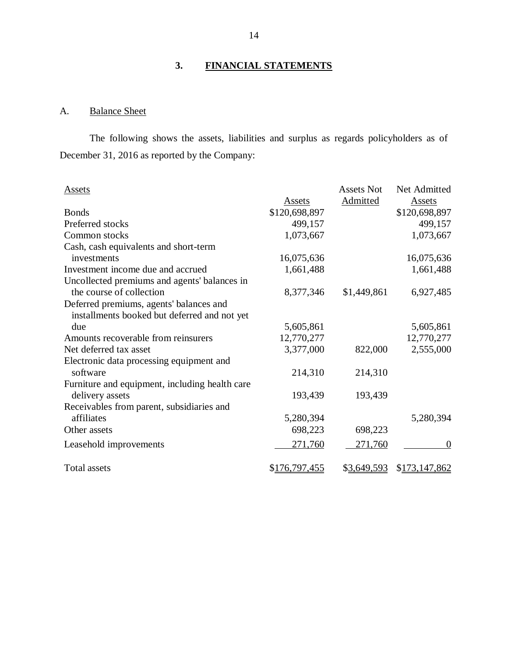# **3. FINANCIAL STATEMENTS**

# A. Balance Sheet

The following shows the assets, liabilities and surplus as regards policyholders as of December 31, 2016 as reported by the Company:

| <b>Assets</b>                                  |               | <b>Assets Not</b> | Net Admitted  |
|------------------------------------------------|---------------|-------------------|---------------|
|                                                | Assets        | Admitted          | <b>Assets</b> |
| <b>Bonds</b>                                   | \$120,698,897 |                   | \$120,698,897 |
| Preferred stocks                               | 499,157       |                   | 499,157       |
| Common stocks                                  | 1,073,667     |                   | 1,073,667     |
| Cash, cash equivalents and short-term          |               |                   |               |
| investments                                    | 16,075,636    |                   | 16,075,636    |
| Investment income due and accrued              | 1,661,488     |                   | 1,661,488     |
| Uncollected premiums and agents' balances in   |               |                   |               |
| the course of collection                       | 8,377,346     | \$1,449,861       | 6,927,485     |
| Deferred premiums, agents' balances and        |               |                   |               |
| installments booked but deferred and not yet   |               |                   |               |
| due                                            | 5,605,861     |                   | 5,605,861     |
| Amounts recoverable from reinsurers            | 12,770,277    |                   | 12,770,277    |
| Net deferred tax asset                         | 3,377,000     | 822,000           | 2,555,000     |
| Electronic data processing equipment and       |               |                   |               |
| software                                       | 214,310       | 214,310           |               |
| Furniture and equipment, including health care |               |                   |               |
| delivery assets                                | 193,439       | 193,439           |               |
| Receivables from parent, subsidiaries and      |               |                   |               |
| affiliates                                     | 5,280,394     |                   | 5,280,394     |
| Other assets                                   | 698,223       | 698,223           |               |
| Leasehold improvements                         | 271,760       | 271,760           | $\Omega$      |
| <b>Total assets</b>                            | \$176,797,455 | \$3,649,593       | \$173,147,862 |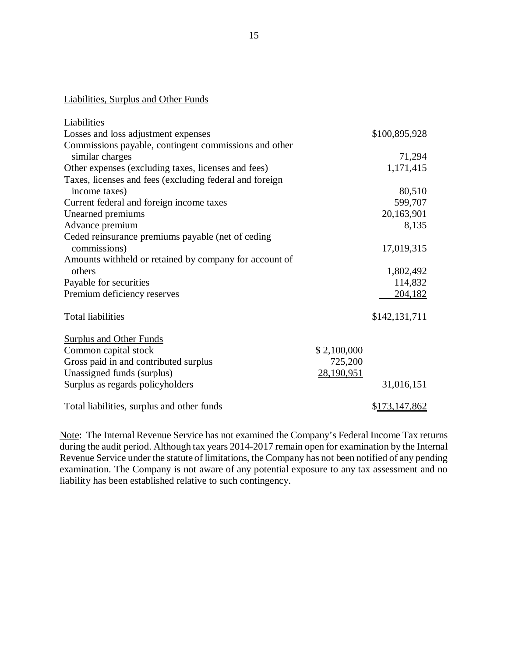# Liabilities, Surplus and Other Funds

| <b>Liabilities</b>                                      |             |               |
|---------------------------------------------------------|-------------|---------------|
| Losses and loss adjustment expenses                     |             | \$100,895,928 |
| Commissions payable, contingent commissions and other   |             |               |
| similar charges                                         |             | 71,294        |
| Other expenses (excluding taxes, licenses and fees)     |             | 1,171,415     |
| Taxes, licenses and fees (excluding federal and foreign |             |               |
| income taxes)                                           |             | 80,510        |
| Current federal and foreign income taxes                |             | 599,707       |
| Unearned premiums                                       |             | 20,163,901    |
| Advance premium                                         |             | 8,135         |
| Ceded reinsurance premiums payable (net of ceding       |             |               |
| commissions)                                            |             | 17,019,315    |
| Amounts withheld or retained by company for account of  |             |               |
| others                                                  |             | 1,802,492     |
| Payable for securities                                  |             | 114,832       |
| Premium deficiency reserves                             |             | 204,182       |
| <b>Total liabilities</b>                                |             | \$142,131,711 |
|                                                         |             |               |
| <b>Surplus and Other Funds</b>                          |             |               |
| Common capital stock                                    | \$2,100,000 |               |
| Gross paid in and contributed surplus                   | 725,200     |               |
| Unassigned funds (surplus)                              | 28,190,951  |               |
| Surplus as regards policyholders                        |             | 31,016,151    |
| Total liabilities, surplus and other funds              |             | \$173,147,862 |

Note: The Internal Revenue Service has not examined the Company's Federal Income Tax returns during the audit period. Although tax years 2014-2017 remain open for examination by the Internal Revenue Service under the statute of limitations, the Company has not been notified of any pending examination. The Company is not aware of any potential exposure to any tax assessment and no liability has been established relative to such contingency.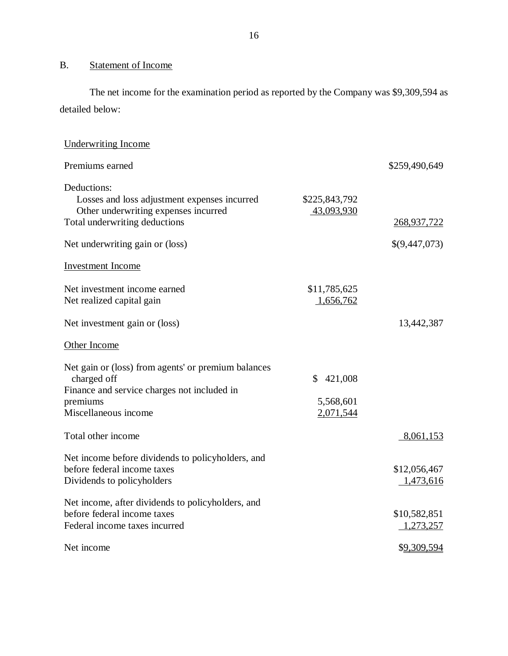# B. Statement of Income

The net income for the examination period as reported by the Company was \$9,309,594 as detailed below:

| <b>Underwriting Income</b>                                                                                                                                              |                                         |                              |
|-------------------------------------------------------------------------------------------------------------------------------------------------------------------------|-----------------------------------------|------------------------------|
| Premiums earned                                                                                                                                                         |                                         | \$259,490,649                |
| Deductions:<br>Losses and loss adjustment expenses incurred<br>Other underwriting expenses incurred<br>Total underwriting deductions<br>Net underwriting gain or (loss) | \$225,843,792<br>43,093,930             | 268,937,722<br>\$(9,447,073) |
| <b>Investment Income</b>                                                                                                                                                |                                         |                              |
| Net investment income earned<br>Net realized capital gain                                                                                                               | \$11,785,625<br>1,656,762               |                              |
| Net investment gain or (loss)                                                                                                                                           |                                         | 13,442,387                   |
| Other Income                                                                                                                                                            |                                         |                              |
| Net gain or (loss) from agents' or premium balances<br>charged off<br>Finance and service charges not included in<br>premiums<br>Miscellaneous income                   | 421,008<br>\$<br>5,568,601<br>2,071,544 |                              |
| Total other income                                                                                                                                                      |                                         | 8,061,153                    |
| Net income before dividends to policyholders, and<br>before federal income taxes<br>Dividends to policyholders                                                          |                                         | \$12,056,467<br>1,473,616    |
| Net income, after dividends to policyholders, and<br>before federal income taxes<br>Federal income taxes incurred                                                       |                                         | \$10,582,851<br>1,273,257    |
| Net income                                                                                                                                                              |                                         | \$9,309,594                  |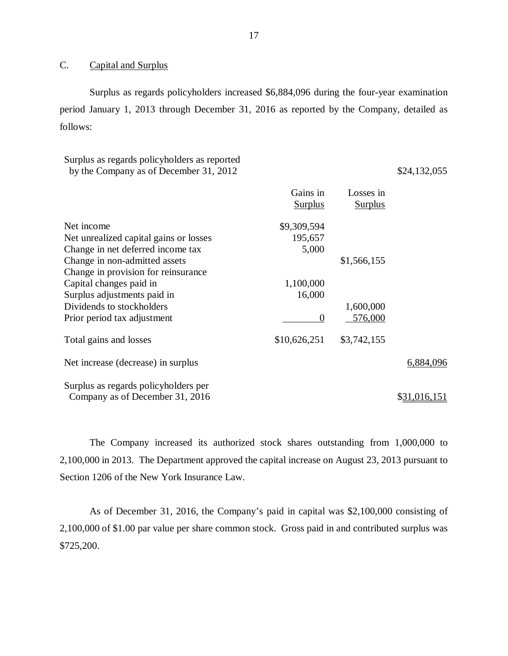# C. Capital and Surplus

Surplus as regards policyholders increased \$6,884,096 during the four-year examination period January 1, 2013 through December 31, 2016 as reported by the Company, detailed as follows:

# Surplus as regards policyholders as reported by the Company as of December 31,  $2012$  \$24,132,055

|                                                                      | Gains in<br><b>Surplus</b> | Losses in<br><b>Surplus</b> |              |
|----------------------------------------------------------------------|----------------------------|-----------------------------|--------------|
| Net income                                                           | \$9,309,594                |                             |              |
| Net unrealized capital gains or losses                               | 195,657                    |                             |              |
| Change in net deferred income tax                                    | 5,000                      |                             |              |
| Change in non-admitted assets<br>Change in provision for reinsurance |                            | \$1,566,155                 |              |
| Capital changes paid in                                              | 1,100,000                  |                             |              |
| Surplus adjustments paid in                                          | 16,000                     |                             |              |
| Dividends to stockholders                                            |                            | 1,600,000                   |              |
| Prior period tax adjustment                                          | $\overline{0}$             | 576,000                     |              |
| Total gains and losses                                               | \$10,626,251               | \$3,742,155                 |              |
| Net increase (decrease) in surplus                                   |                            |                             | 6,884,096    |
| Surplus as regards policyholders per                                 |                            |                             |              |
| Company as of December 31, 2016                                      |                            |                             | \$31,016,151 |

The Company increased its authorized stock shares outstanding from 1,000,000 to 2,100,000 in 2013. The Department approved the capital increase on August 23, 2013 pursuant to Section 1206 of the New York Insurance Law.

As of December 31, 2016, the Company's paid in capital was \$2,100,000 consisting of 2,100,000 of \$1.00 par value per share common stock. Gross paid in and contributed surplus was \$725,200.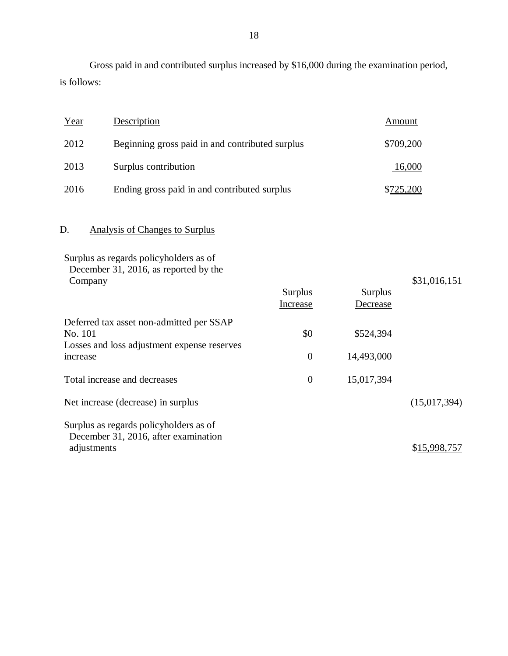Gross paid in and contributed surplus increased by \$16,000 during the examination period, is follows:

| Year | Description                                     | Amount    |
|------|-------------------------------------------------|-----------|
| 2012 | Beginning gross paid in and contributed surplus | \$709,200 |
| 2013 | Surplus contribution                            | 16,000    |
| 2016 | Ending gross paid in and contributed surplus    | \$725,200 |

# D. Analysis of Changes to Surplus

| Surplus as regards policyholders as of<br>December 31, 2016, as reported by the<br>Company                     | Surplus<br>Increase   | Surplus<br>Decrease     | \$31,016,151 |
|----------------------------------------------------------------------------------------------------------------|-----------------------|-------------------------|--------------|
| Deferred tax asset non-admitted per SSAP<br>No. 101<br>Losses and loss adjustment expense reserves<br>increase | \$0<br>$\overline{0}$ | \$524,394<br>14,493,000 |              |
| Total increase and decreases                                                                                   | $\overline{0}$        | 15,017,394              |              |
| Net increase (decrease) in surplus                                                                             |                       |                         | (15,017,394) |
| Surplus as regards policyholders as of<br>December 31, 2016, after examination<br>adjustments                  |                       |                         | \$15,998,757 |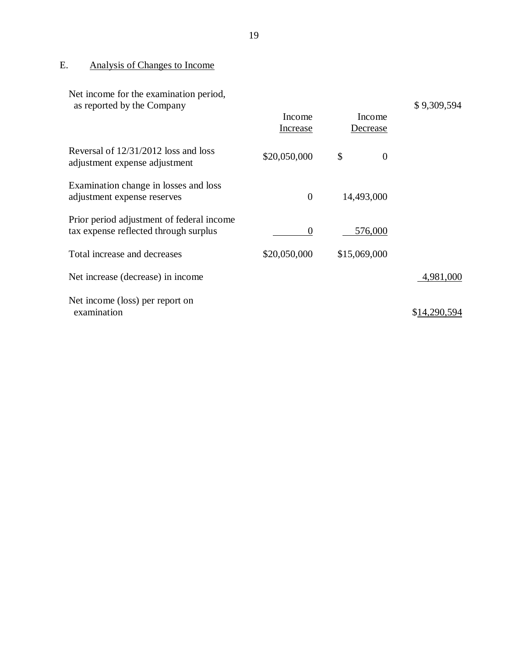# E. Analysis of Changes to Income

| Net income for the examination period,<br>as reported by the Company               | Income<br>Increase | Income<br>Decrease | \$9,309,594 |
|------------------------------------------------------------------------------------|--------------------|--------------------|-------------|
| Reversal of 12/31/2012 loss and loss<br>adjustment expense adjustment              | \$20,050,000       | \$<br>$\theta$     |             |
| Examination change in losses and loss<br>adjustment expense reserves               | $\overline{0}$     | 14,493,000         |             |
| Prior period adjustment of federal income<br>tax expense reflected through surplus | $\Omega$           | 576,000            |             |
| Total increase and decreases                                                       | \$20,050,000       | \$15,069,000       |             |
| Net increase (decrease) in income                                                  |                    |                    | 4,981,000   |
| Net income (loss) per report on<br>examination                                     |                    |                    | \$14,290.   |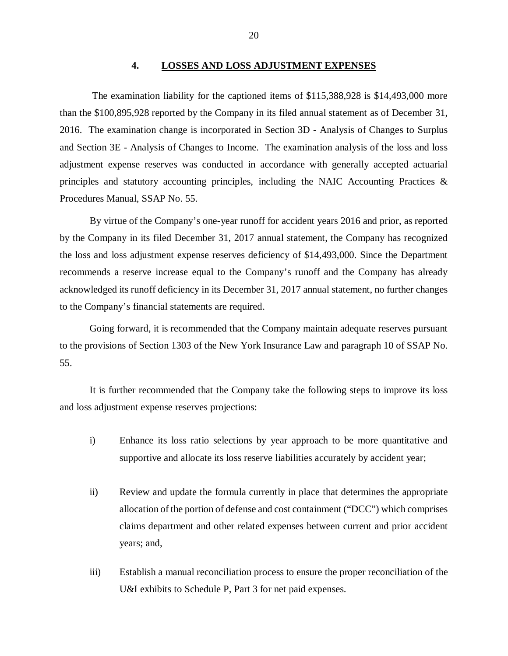#### **4. LOSSES AND LOSS ADJUSTMENT EXPENSES**

<span id="page-21-0"></span>The examination liability for the captioned items of \$115,388,928 is \$14,493,000 more than the \$100,895,928 reported by the Company in its filed annual statement as of December 31, 2016. The examination change is incorporated in Section 3D - Analysis of Changes to Surplus and Section 3E - Analysis of Changes to Income. The examination analysis of the loss and loss adjustment expense reserves was conducted in accordance with generally accepted actuarial principles and statutory accounting principles, including the NAIC Accounting Practices & Procedures Manual, SSAP No. 55.

By virtue of the Company's one-year runoff for accident years 2016 and prior, as reported by the Company in its filed December 31, 2017 annual statement, the Company has recognized the loss and loss adjustment expense reserves deficiency of \$14,493,000. Since the Department recommends a reserve increase equal to the Company's runoff and the Company has already acknowledged its runoff deficiency in its December 31, 2017 annual statement, no further changes to the Company's financial statements are required.

Going forward, it is recommended that the Company maintain adequate reserves pursuant to the provisions of Section 1303 of the New York Insurance Law and paragraph 10 of SSAP No. 55.

It is further recommended that the Company take the following steps to improve its loss and loss adjustment expense reserves projections:

- i) Enhance its loss ratio selections by year approach to be more quantitative and supportive and allocate its loss reserve liabilities accurately by accident year;
- ii) Review and update the formula currently in place that determines the appropriate allocation of the portion of defense and cost containment ("DCC") which comprises claims department and other related expenses between current and prior accident years; and,
- iii) Establish a manual reconciliation process to ensure the proper reconciliation of the U&I exhibits to Schedule P, Part 3 for net paid expenses.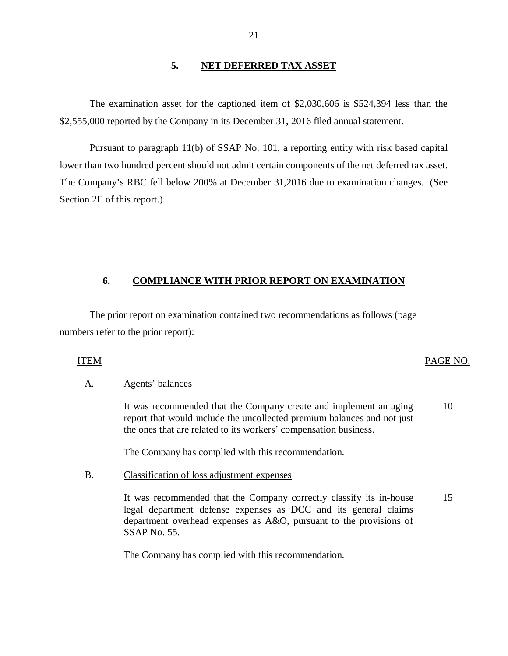# **5. NET DEFERRED TAX ASSET**

The examination asset for the captioned item of \$2,030,606 is \$524,394 less than the \$2,555,000 reported by the Company in its December 31, 2016 filed annual statement.

Pursuant to paragraph 11(b) of SSAP No. 101, a reporting entity with risk based capital lower than two hundred percent should not admit certain components of the net deferred tax asset. The Company's RBC fell below 200% at December 31,2016 due to examination changes. (See Section 2E of this report.)

## **6. COMPLIANCE WITH PRIOR REPORT ON EXAMINATION**

The prior report on examination contained two recommendations as follows (page numbers refer to the prior report):

# ITEM PAGE NO.

## A. Agents' balances

It was recommended that the Company create and implement an aging report that would include the uncollected premium balances and not just the ones that are related to its workers' compensation business. 10

The Company has complied with this recommendation.

#### B. Classification of loss adjustment expenses

It was recommended that the Company correctly classify its in-house legal department defense expenses as DCC and its general claims department overhead expenses as A&O, pursuant to the provisions of SSAP No. 55. 15

The Company has complied with this recommendation.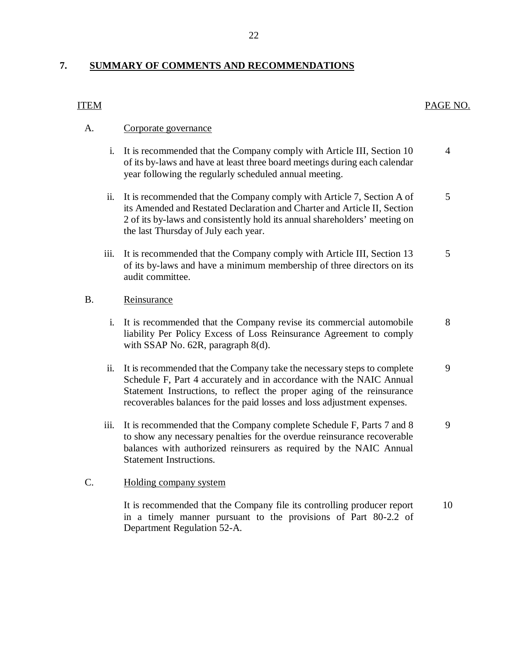# **7. SUMMARY OF COMMENTS AND RECOMMENDATIONS**

# ITEM

PAGE NO.

#### A. Corporate governance

- i. It is recommended that the Company comply with Article III, Section 10 4 of its by-laws and have at least three board meetings during each calendar year following the regularly scheduled annual meeting.
- ii. It is recommended that the Company comply with Article 7, Section A of 5 its Amended and Restated Declaration and Charter and Article II, Section 2 of its by-laws and consistently hold its annual shareholders' meeting on the last Thursday of July each year.
- iii. It is recommended that the Company comply with Article III, Section 13 5 of its by-laws and have a minimum membership of three directors on its audit committee.

#### B. Reinsurance

- i. It is recommended that the Company revise its commercial automobile 8 liability Per Policy Excess of Loss Reinsurance Agreement to comply with SSAP No. 62R, paragraph 8(d).
- ii. It is recommended that the Company take the necessary steps to complete 9 Schedule F, Part 4 accurately and in accordance with the NAIC Annual Statement Instructions, to reflect the proper aging of the reinsurance recoverables balances for the paid losses and loss adjustment expenses.
- iii. It is recommended that the Company complete Schedule  $F$ , Parts  $7$  and  $8$  9 to show any necessary penalties for the overdue reinsurance recoverable balances with authorized reinsurers as required by the NAIC Annual Statement Instructions.

#### C. Holding company system

It is recommended that the Company file its controlling producer report 10 in a timely manner pursuant to the provisions of Part 80-2.2 of Department Regulation 52-A.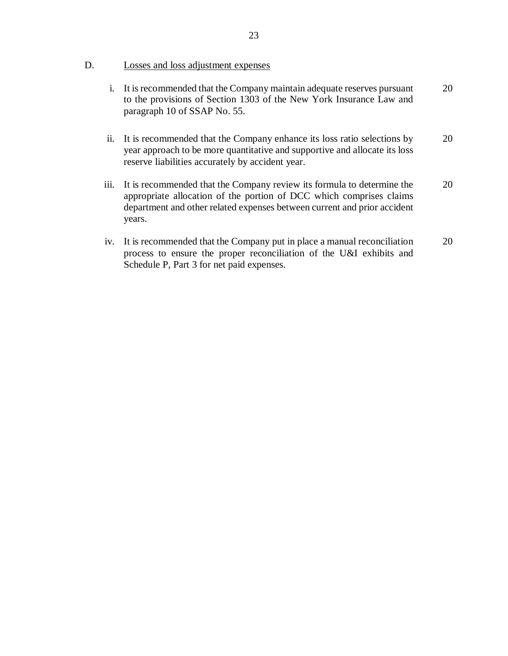# D. Losses and loss adjustment expenses

- i. It is recommended that the Company maintain adequate reserves pursuant to the provisions of Section 1303 of the New York Insurance Law and paragraph 10 of SSAP No. 55. 20
- ii. It is recommended that the Company enhance its loss ratio selections by year approach to be more quantitative and supportive and allocate its loss reserve liabilities accurately by accident year. 20
- iii. It is recommended that the Company review its formula to determine the appropriate allocation of the portion of DCC which comprises claims department and other related expenses between current and prior accident years. 20
- iv. It is recommended that the Company put in place a manual reconciliation process to ensure the proper reconciliation of the U&I exhibits and Schedule P, Part 3 for net paid expenses. 20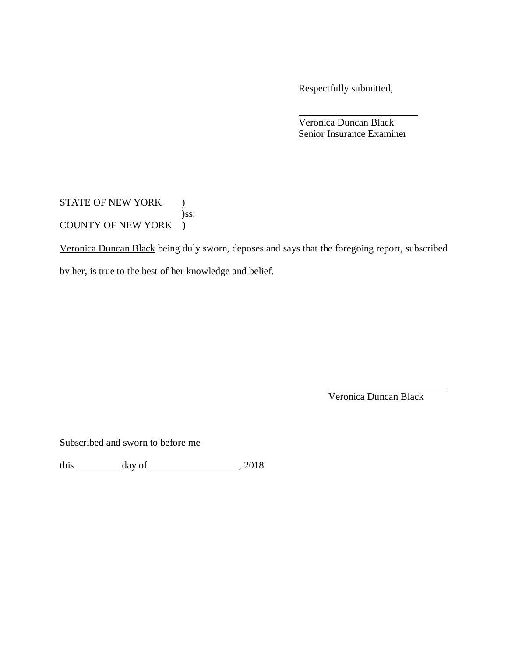Respectfully submitted,

Veronica Duncan Black Senior Insurance Examiner

STATE OF NEW YORK ) )ss: COUNTY OF NEW YORK )

Veronica Duncan Black being duly sworn, deposes and says that the foregoing report, subscribed by her, is true to the best of her knowledge and belief.

Veronica Duncan Black

Subscribed and sworn to before me

this  $\frac{day \text{ of } (x,y) \text{ of } (x,y) \text{ of } (x,y) \text{ of } (x,y) \text{ of } (x,y)$